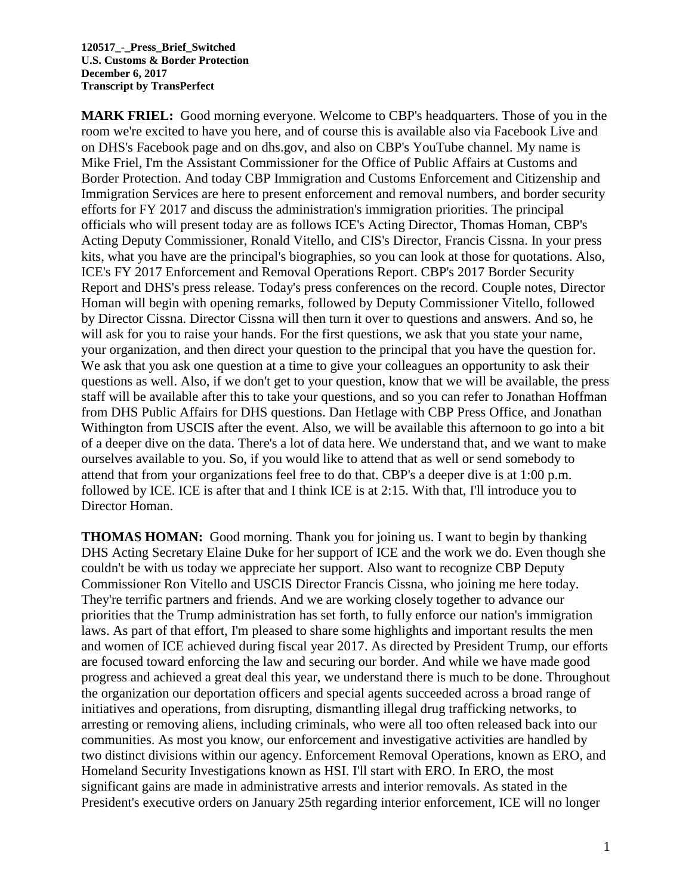**MARK FRIEL:** Good morning everyone. Welcome to CBP's headquarters. Those of you in the room we're excited to have you here, and of course this is available also via Facebook Live and on DHS's Facebook page and on dhs.gov, and also on CBP's YouTube channel. My name is Mike Friel, I'm the Assistant Commissioner for the Office of Public Affairs at Customs and Border Protection. And today CBP Immigration and Customs Enforcement and Citizenship and Immigration Services are here to present enforcement and removal numbers, and border security efforts for FY 2017 and discuss the administration's immigration priorities. The principal officials who will present today are as follows ICE's Acting Director, Thomas Homan, CBP's Acting Deputy Commissioner, Ronald Vitello, and CIS's Director, Francis Cissna. In your press kits, what you have are the principal's biographies, so you can look at those for quotations. Also, ICE's FY 2017 Enforcement and Removal Operations Report. CBP's 2017 Border Security Report and DHS's press release. Today's press conferences on the record. Couple notes, Director Homan will begin with opening remarks, followed by Deputy Commissioner Vitello, followed by Director Cissna. Director Cissna will then turn it over to questions and answers. And so, he will ask for you to raise your hands. For the first questions, we ask that you state your name, your organization, and then direct your question to the principal that you have the question for. We ask that you ask one question at a time to give your colleagues an opportunity to ask their questions as well. Also, if we don't get to your question, know that we will be available, the press staff will be available after this to take your questions, and so you can refer to Jonathan Hoffman from DHS Public Affairs for DHS questions. Dan Hetlage with CBP Press Office, and Jonathan Withington from USCIS after the event. Also, we will be available this afternoon to go into a bit of a deeper dive on the data. There's a lot of data here. We understand that, and we want to make ourselves available to you. So, if you would like to attend that as well or send somebody to attend that from your organizations feel free to do that. CBP's a deeper dive is at 1:00 p.m. followed by ICE. ICE is after that and I think ICE is at 2:15. With that, I'll introduce you to Director Homan.

**THOMAS HOMAN:** Good morning. Thank you for joining us. I want to begin by thanking DHS Acting Secretary Elaine Duke for her support of ICE and the work we do. Even though she couldn't be with us today we appreciate her support. Also want to recognize CBP Deputy Commissioner Ron Vitello and USCIS Director Francis Cissna, who joining me here today. They're terrific partners and friends. And we are working closely together to advance our priorities that the Trump administration has set forth, to fully enforce our nation's immigration laws. As part of that effort, I'm pleased to share some highlights and important results the men and women of ICE achieved during fiscal year 2017. As directed by President Trump, our efforts are focused toward enforcing the law and securing our border. And while we have made good progress and achieved a great deal this year, we understand there is much to be done. Throughout the organization our deportation officers and special agents succeeded across a broad range of initiatives and operations, from disrupting, dismantling illegal drug trafficking networks, to arresting or removing aliens, including criminals, who were all too often released back into our communities. As most you know, our enforcement and investigative activities are handled by two distinct divisions within our agency. Enforcement Removal Operations, known as ERO, and Homeland Security Investigations known as HSI. I'll start with ERO. In ERO, the most significant gains are made in administrative arrests and interior removals. As stated in the President's executive orders on January 25th regarding interior enforcement, ICE will no longer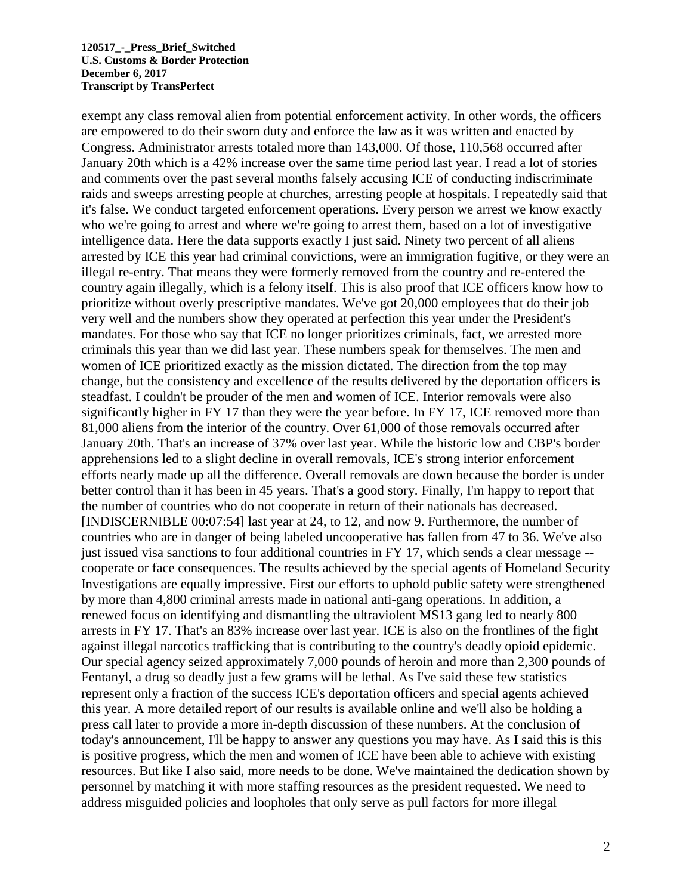exempt any class removal alien from potential enforcement activity. In other words, the officers are empowered to do their sworn duty and enforce the law as it was written and enacted by Congress. Administrator arrests totaled more than 143,000. Of those, 110,568 occurred after January 20th which is a 42% increase over the same time period last year. I read a lot of stories and comments over the past several months falsely accusing ICE of conducting indiscriminate raids and sweeps arresting people at churches, arresting people at hospitals. I repeatedly said that it's false. We conduct targeted enforcement operations. Every person we arrest we know exactly who we're going to arrest and where we're going to arrest them, based on a lot of investigative intelligence data. Here the data supports exactly I just said. Ninety two percent of all aliens arrested by ICE this year had criminal convictions, were an immigration fugitive, or they were an illegal re-entry. That means they were formerly removed from the country and re-entered the country again illegally, which is a felony itself. This is also proof that ICE officers know how to prioritize without overly prescriptive mandates. We've got 20,000 employees that do their job very well and the numbers show they operated at perfection this year under the President's mandates. For those who say that ICE no longer prioritizes criminals, fact, we arrested more criminals this year than we did last year. These numbers speak for themselves. The men and women of ICE prioritized exactly as the mission dictated. The direction from the top may change, but the consistency and excellence of the results delivered by the deportation officers is steadfast. I couldn't be prouder of the men and women of ICE. Interior removals were also significantly higher in FY 17 than they were the year before. In FY 17, ICE removed more than 81,000 aliens from the interior of the country. Over 61,000 of those removals occurred after January 20th. That's an increase of 37% over last year. While the historic low and CBP's border apprehensions led to a slight decline in overall removals, ICE's strong interior enforcement efforts nearly made up all the difference. Overall removals are down because the border is under better control than it has been in 45 years. That's a good story. Finally, I'm happy to report that the number of countries who do not cooperate in return of their nationals has decreased. [INDISCERNIBLE 00:07:54] last year at 24, to 12, and now 9. Furthermore, the number of countries who are in danger of being labeled uncooperative has fallen from 47 to 36. We've also just issued visa sanctions to four additional countries in FY 17, which sends a clear message -cooperate or face consequences. The results achieved by the special agents of Homeland Security Investigations are equally impressive. First our efforts to uphold public safety were strengthened by more than 4,800 criminal arrests made in national anti-gang operations. In addition, a renewed focus on identifying and dismantling the ultraviolent MS13 gang led to nearly 800 arrests in FY 17. That's an 83% increase over last year. ICE is also on the frontlines of the fight against illegal narcotics trafficking that is contributing to the country's deadly opioid epidemic. Our special agency seized approximately 7,000 pounds of heroin and more than 2,300 pounds of Fentanyl, a drug so deadly just a few grams will be lethal. As I've said these few statistics represent only a fraction of the success ICE's deportation officers and special agents achieved this year. A more detailed report of our results is available online and we'll also be holding a press call later to provide a more in-depth discussion of these numbers. At the conclusion of today's announcement, I'll be happy to answer any questions you may have. As I said this is this is positive progress, which the men and women of ICE have been able to achieve with existing resources. But like I also said, more needs to be done. We've maintained the dedication shown by personnel by matching it with more staffing resources as the president requested. We need to address misguided policies and loopholes that only serve as pull factors for more illegal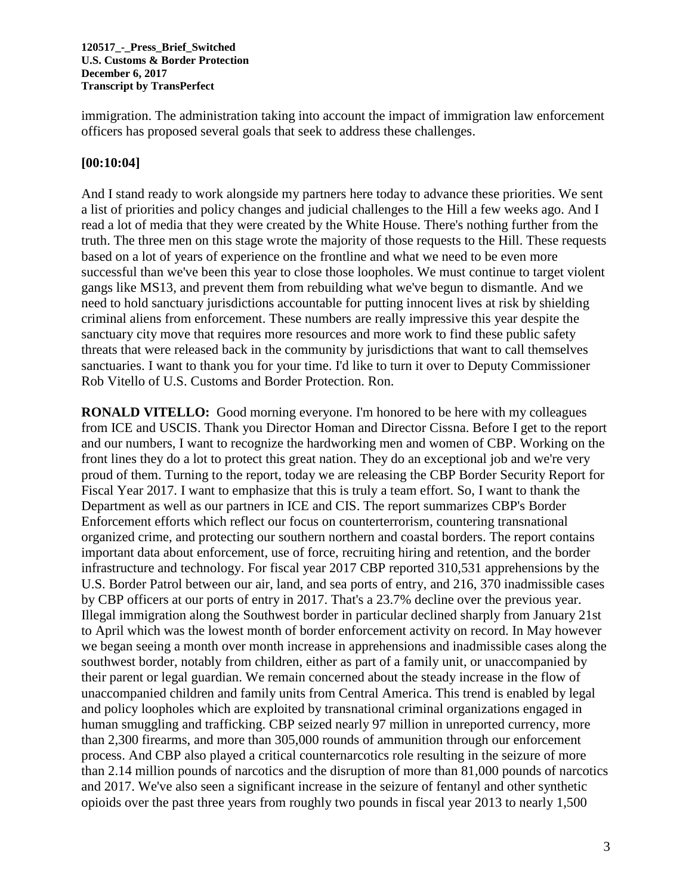immigration. The administration taking into account the impact of immigration law enforcement officers has proposed several goals that seek to address these challenges.

### **[00:10:04]**

And I stand ready to work alongside my partners here today to advance these priorities. We sent a list of priorities and policy changes and judicial challenges to the Hill a few weeks ago. And I read a lot of media that they were created by the White House. There's nothing further from the truth. The three men on this stage wrote the majority of those requests to the Hill. These requests based on a lot of years of experience on the frontline and what we need to be even more successful than we've been this year to close those loopholes. We must continue to target violent gangs like MS13, and prevent them from rebuilding what we've begun to dismantle. And we need to hold sanctuary jurisdictions accountable for putting innocent lives at risk by shielding criminal aliens from enforcement. These numbers are really impressive this year despite the sanctuary city move that requires more resources and more work to find these public safety threats that were released back in the community by jurisdictions that want to call themselves sanctuaries. I want to thank you for your time. I'd like to turn it over to Deputy Commissioner Rob Vitello of U.S. Customs and Border Protection. Ron.

**RONALD VITELLO:** Good morning everyone. I'm honored to be here with my colleagues from ICE and USCIS. Thank you Director Homan and Director Cissna. Before I get to the report and our numbers, I want to recognize the hardworking men and women of CBP. Working on the front lines they do a lot to protect this great nation. They do an exceptional job and we're very proud of them. Turning to the report, today we are releasing the CBP Border Security Report for Fiscal Year 2017. I want to emphasize that this is truly a team effort. So, I want to thank the Department as well as our partners in ICE and CIS. The report summarizes CBP's Border Enforcement efforts which reflect our focus on counterterrorism, countering transnational organized crime, and protecting our southern northern and coastal borders. The report contains important data about enforcement, use of force, recruiting hiring and retention, and the border infrastructure and technology. For fiscal year 2017 CBP reported 310,531 apprehensions by the U.S. Border Patrol between our air, land, and sea ports of entry, and 216, 370 inadmissible cases by CBP officers at our ports of entry in 2017. That's a 23.7% decline over the previous year. Illegal immigration along the Southwest border in particular declined sharply from January 21st to April which was the lowest month of border enforcement activity on record. In May however we began seeing a month over month increase in apprehensions and inadmissible cases along the southwest border, notably from children, either as part of a family unit, or unaccompanied by their parent or legal guardian. We remain concerned about the steady increase in the flow of unaccompanied children and family units from Central America. This trend is enabled by legal and policy loopholes which are exploited by transnational criminal organizations engaged in human smuggling and trafficking. CBP seized nearly 97 million in unreported currency, more than 2,300 firearms, and more than 305,000 rounds of ammunition through our enforcement process. And CBP also played a critical counternarcotics role resulting in the seizure of more than 2.14 million pounds of narcotics and the disruption of more than 81,000 pounds of narcotics and 2017. We've also seen a significant increase in the seizure of fentanyl and other synthetic opioids over the past three years from roughly two pounds in fiscal year 2013 to nearly 1,500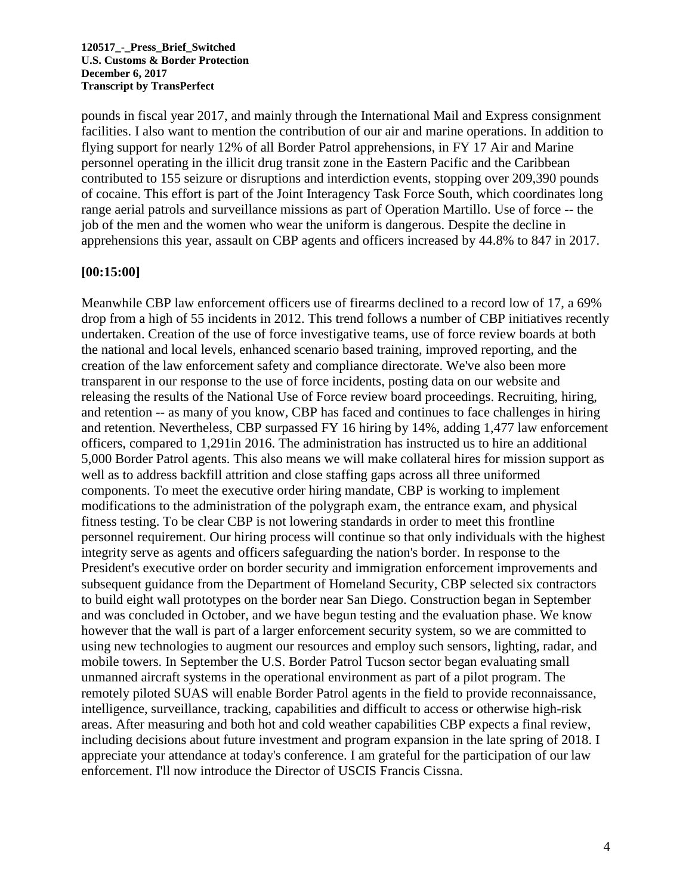pounds in fiscal year 2017, and mainly through the International Mail and Express consignment facilities. I also want to mention the contribution of our air and marine operations. In addition to flying support for nearly 12% of all Border Patrol apprehensions, in FY 17 Air and Marine personnel operating in the illicit drug transit zone in the Eastern Pacific and the Caribbean contributed to 155 seizure or disruptions and interdiction events, stopping over 209,390 pounds of cocaine. This effort is part of the Joint Interagency Task Force South, which coordinates long range aerial patrols and surveillance missions as part of Operation Martillo. Use of force -- the job of the men and the women who wear the uniform is dangerous. Despite the decline in apprehensions this year, assault on CBP agents and officers increased by 44.8% to 847 in 2017.

### **[00:15:00]**

Meanwhile CBP law enforcement officers use of firearms declined to a record low of 17, a 69% drop from a high of 55 incidents in 2012. This trend follows a number of CBP initiatives recently undertaken. Creation of the use of force investigative teams, use of force review boards at both the national and local levels, enhanced scenario based training, improved reporting, and the creation of the law enforcement safety and compliance directorate. We've also been more transparent in our response to the use of force incidents, posting data on our website and releasing the results of the National Use of Force review board proceedings. Recruiting, hiring, and retention -- as many of you know, CBP has faced and continues to face challenges in hiring and retention. Nevertheless, CBP surpassed FY 16 hiring by 14%, adding 1,477 law enforcement officers, compared to 1,291in 2016. The administration has instructed us to hire an additional 5,000 Border Patrol agents. This also means we will make collateral hires for mission support as well as to address backfill attrition and close staffing gaps across all three uniformed components. To meet the executive order hiring mandate, CBP is working to implement modifications to the administration of the polygraph exam, the entrance exam, and physical fitness testing. To be clear CBP is not lowering standards in order to meet this frontline personnel requirement. Our hiring process will continue so that only individuals with the highest integrity serve as agents and officers safeguarding the nation's border. In response to the President's executive order on border security and immigration enforcement improvements and subsequent guidance from the Department of Homeland Security, CBP selected six contractors to build eight wall prototypes on the border near San Diego. Construction began in September and was concluded in October, and we have begun testing and the evaluation phase. We know however that the wall is part of a larger enforcement security system, so we are committed to using new technologies to augment our resources and employ such sensors, lighting, radar, and mobile towers. In September the U.S. Border Patrol Tucson sector began evaluating small unmanned aircraft systems in the operational environment as part of a pilot program. The remotely piloted SUAS will enable Border Patrol agents in the field to provide reconnaissance, intelligence, surveillance, tracking, capabilities and difficult to access or otherwise high-risk areas. After measuring and both hot and cold weather capabilities CBP expects a final review, including decisions about future investment and program expansion in the late spring of 2018. I appreciate your attendance at today's conference. I am grateful for the participation of our law enforcement. I'll now introduce the Director of USCIS Francis Cissna.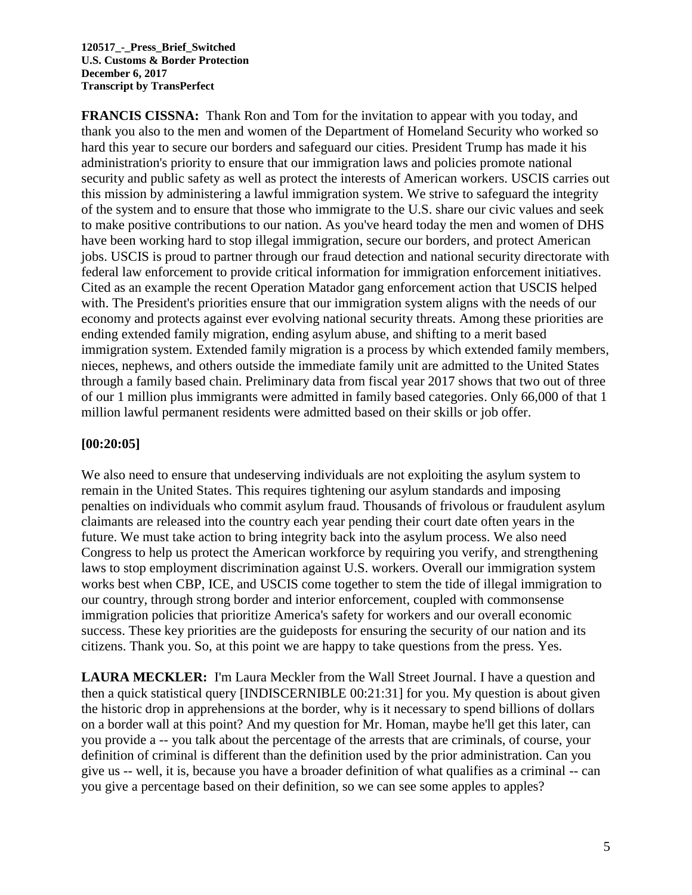**FRANCIS CISSNA:** Thank Ron and Tom for the invitation to appear with you today, and thank you also to the men and women of the Department of Homeland Security who worked so hard this year to secure our borders and safeguard our cities. President Trump has made it his administration's priority to ensure that our immigration laws and policies promote national security and public safety as well as protect the interests of American workers. USCIS carries out this mission by administering a lawful immigration system. We strive to safeguard the integrity of the system and to ensure that those who immigrate to the U.S. share our civic values and seek to make positive contributions to our nation. As you've heard today the men and women of DHS have been working hard to stop illegal immigration, secure our borders, and protect American jobs. USCIS is proud to partner through our fraud detection and national security directorate with federal law enforcement to provide critical information for immigration enforcement initiatives. Cited as an example the recent Operation Matador gang enforcement action that USCIS helped with. The President's priorities ensure that our immigration system aligns with the needs of our economy and protects against ever evolving national security threats. Among these priorities are ending extended family migration, ending asylum abuse, and shifting to a merit based immigration system. Extended family migration is a process by which extended family members, nieces, nephews, and others outside the immediate family unit are admitted to the United States through a family based chain. Preliminary data from fiscal year 2017 shows that two out of three of our 1 million plus immigrants were admitted in family based categories. Only 66,000 of that 1 million lawful permanent residents were admitted based on their skills or job offer.

## **[00:20:05]**

We also need to ensure that undeserving individuals are not exploiting the asylum system to remain in the United States. This requires tightening our asylum standards and imposing penalties on individuals who commit asylum fraud. Thousands of frivolous or fraudulent asylum claimants are released into the country each year pending their court date often years in the future. We must take action to bring integrity back into the asylum process. We also need Congress to help us protect the American workforce by requiring you verify, and strengthening laws to stop employment discrimination against U.S. workers. Overall our immigration system works best when CBP, ICE, and USCIS come together to stem the tide of illegal immigration to our country, through strong border and interior enforcement, coupled with commonsense immigration policies that prioritize America's safety for workers and our overall economic success. These key priorities are the guideposts for ensuring the security of our nation and its citizens. Thank you. So, at this point we are happy to take questions from the press. Yes.

**LAURA MECKLER:** I'm Laura Meckler from the Wall Street Journal. I have a question and then a quick statistical query [INDISCERNIBLE 00:21:31] for you. My question is about given the historic drop in apprehensions at the border, why is it necessary to spend billions of dollars on a border wall at this point? And my question for Mr. Homan, maybe he'll get this later, can you provide a -- you talk about the percentage of the arrests that are criminals, of course, your definition of criminal is different than the definition used by the prior administration. Can you give us -- well, it is, because you have a broader definition of what qualifies as a criminal -- can you give a percentage based on their definition, so we can see some apples to apples?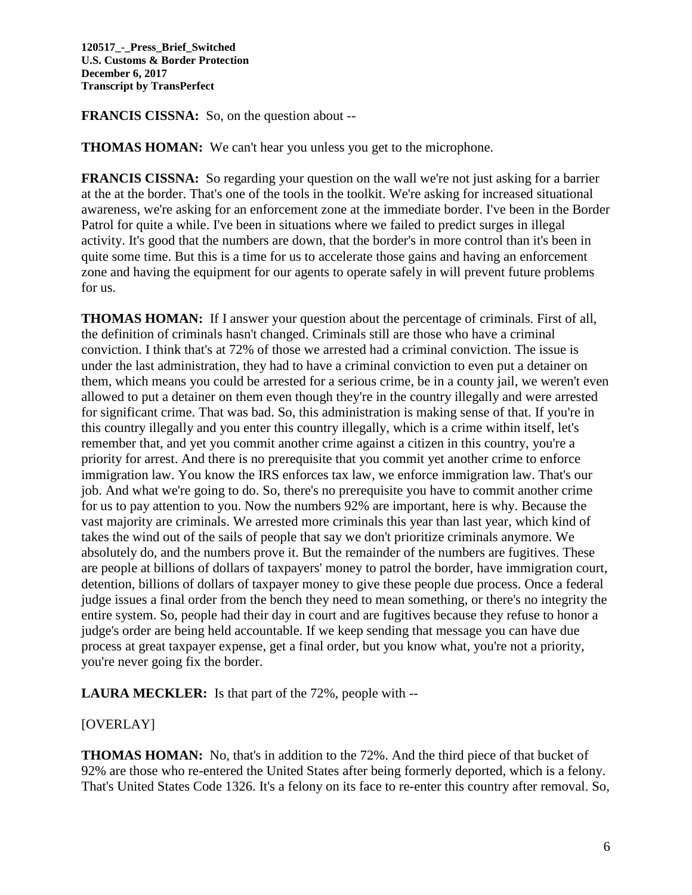**FRANCIS CISSNA:** So, on the question about --

**THOMAS HOMAN:** We can't hear you unless you get to the microphone.

**FRANCIS CISSNA:** So regarding your question on the wall we're not just asking for a barrier at the at the border. That's one of the tools in the toolkit. We're asking for increased situational awareness, we're asking for an enforcement zone at the immediate border. I've been in the Border Patrol for quite a while. I've been in situations where we failed to predict surges in illegal activity. It's good that the numbers are down, that the border's in more control than it's been in quite some time. But this is a time for us to accelerate those gains and having an enforcement zone and having the equipment for our agents to operate safely in will prevent future problems for us.

**THOMAS HOMAN:** If I answer your question about the percentage of criminals. First of all, the definition of criminals hasn't changed. Criminals still are those who have a criminal conviction. I think that's at 72% of those we arrested had a criminal conviction. The issue is under the last administration, they had to have a criminal conviction to even put a detainer on them, which means you could be arrested for a serious crime, be in a county jail, we weren't even allowed to put a detainer on them even though they're in the country illegally and were arrested for significant crime. That was bad. So, this administration is making sense of that. If you're in this country illegally and you enter this country illegally, which is a crime within itself, let's remember that, and yet you commit another crime against a citizen in this country, you're a priority for arrest. And there is no prerequisite that you commit yet another crime to enforce immigration law. You know the IRS enforces tax law, we enforce immigration law. That's our job. And what we're going to do. So, there's no prerequisite you have to commit another crime for us to pay attention to you. Now the numbers 92% are important, here is why. Because the vast majority are criminals. We arrested more criminals this year than last year, which kind of takes the wind out of the sails of people that say we don't prioritize criminals anymore. We absolutely do, and the numbers prove it. But the remainder of the numbers are fugitives. These are people at billions of dollars of taxpayers' money to patrol the border, have immigration court, detention, billions of dollars of taxpayer money to give these people due process. Once a federal judge issues a final order from the bench they need to mean something, or there's no integrity the entire system. So, people had their day in court and are fugitives because they refuse to honor a judge's order are being held accountable. If we keep sending that message you can have due process at great taxpayer expense, get a final order, but you know what, you're not a priority, you're never going fix the border.

**LAURA MECKLER:** Is that part of the 72%, people with --

# [OVERLAY]

**THOMAS HOMAN:** No, that's in addition to the 72%. And the third piece of that bucket of 92% are those who re-entered the United States after being formerly deported, which is a felony. That's United States Code 1326. It's a felony on its face to re-enter this country after removal. So,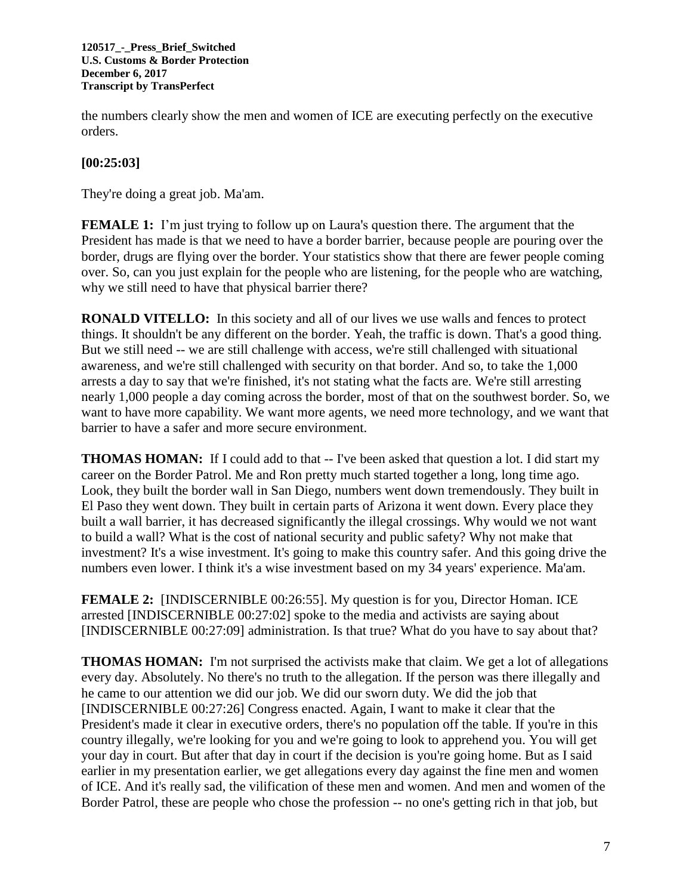the numbers clearly show the men and women of ICE are executing perfectly on the executive orders.

## **[00:25:03]**

They're doing a great job. Ma'am.

**FEMALE 1:** I'm just trying to follow up on Laura's question there. The argument that the President has made is that we need to have a border barrier, because people are pouring over the border, drugs are flying over the border. Your statistics show that there are fewer people coming over. So, can you just explain for the people who are listening, for the people who are watching, why we still need to have that physical barrier there?

**RONALD VITELLO:** In this society and all of our lives we use walls and fences to protect things. It shouldn't be any different on the border. Yeah, the traffic is down. That's a good thing. But we still need -- we are still challenge with access, we're still challenged with situational awareness, and we're still challenged with security on that border. And so, to take the 1,000 arrests a day to say that we're finished, it's not stating what the facts are. We're still arresting nearly 1,000 people a day coming across the border, most of that on the southwest border. So, we want to have more capability. We want more agents, we need more technology, and we want that barrier to have a safer and more secure environment.

**THOMAS HOMAN:** If I could add to that -- I've been asked that question a lot. I did start my career on the Border Patrol. Me and Ron pretty much started together a long, long time ago. Look, they built the border wall in San Diego, numbers went down tremendously. They built in El Paso they went down. They built in certain parts of Arizona it went down. Every place they built a wall barrier, it has decreased significantly the illegal crossings. Why would we not want to build a wall? What is the cost of national security and public safety? Why not make that investment? It's a wise investment. It's going to make this country safer. And this going drive the numbers even lower. I think it's a wise investment based on my 34 years' experience. Ma'am.

**FEMALE 2:** [INDISCERNIBLE 00:26:55]. My question is for you, Director Homan. ICE arrested [INDISCERNIBLE 00:27:02] spoke to the media and activists are saying about [INDISCERNIBLE 00:27:09] administration. Is that true? What do you have to say about that?

**THOMAS HOMAN:** I'm not surprised the activists make that claim. We get a lot of allegations every day. Absolutely. No there's no truth to the allegation. If the person was there illegally and he came to our attention we did our job. We did our sworn duty. We did the job that [INDISCERNIBLE 00:27:26] Congress enacted. Again, I want to make it clear that the President's made it clear in executive orders, there's no population off the table. If you're in this country illegally, we're looking for you and we're going to look to apprehend you. You will get your day in court. But after that day in court if the decision is you're going home. But as I said earlier in my presentation earlier, we get allegations every day against the fine men and women of ICE. And it's really sad, the vilification of these men and women. And men and women of the Border Patrol, these are people who chose the profession -- no one's getting rich in that job, but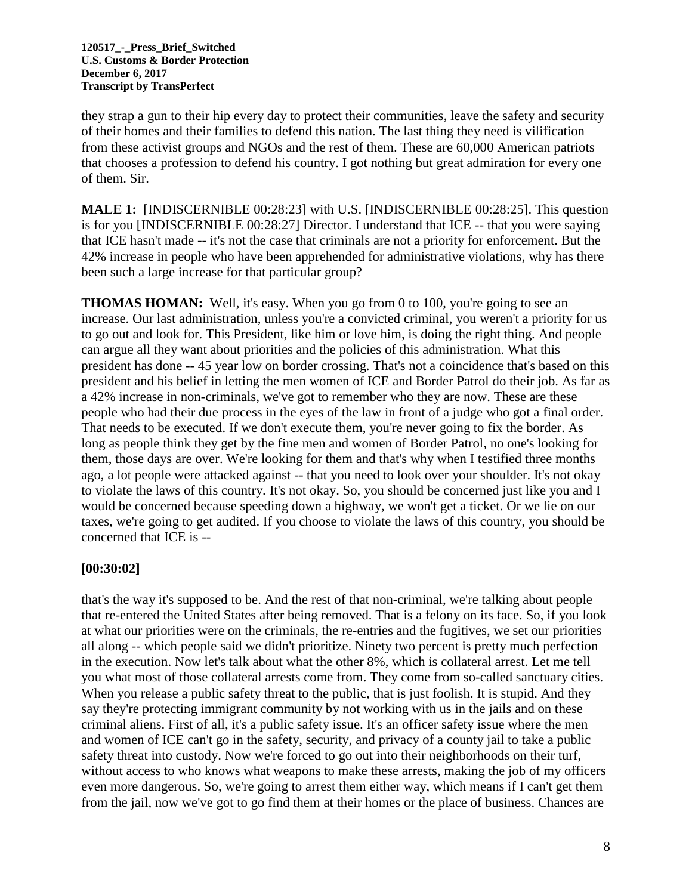they strap a gun to their hip every day to protect their communities, leave the safety and security of their homes and their families to defend this nation. The last thing they need is vilification from these activist groups and NGOs and the rest of them. These are 60,000 American patriots that chooses a profession to defend his country. I got nothing but great admiration for every one of them. Sir.

**MALE 1:** [INDISCERNIBLE 00:28:23] with U.S. [INDISCERNIBLE 00:28:25]. This question is for you [INDISCERNIBLE 00:28:27] Director. I understand that ICE -- that you were saying that ICE hasn't made -- it's not the case that criminals are not a priority for enforcement. But the 42% increase in people who have been apprehended for administrative violations, why has there been such a large increase for that particular group?

**THOMAS HOMAN:** Well, it's easy. When you go from 0 to 100, you're going to see an increase. Our last administration, unless you're a convicted criminal, you weren't a priority for us to go out and look for. This President, like him or love him, is doing the right thing. And people can argue all they want about priorities and the policies of this administration. What this president has done -- 45 year low on border crossing. That's not a coincidence that's based on this president and his belief in letting the men women of ICE and Border Patrol do their job. As far as a 42% increase in non-criminals, we've got to remember who they are now. These are these people who had their due process in the eyes of the law in front of a judge who got a final order. That needs to be executed. If we don't execute them, you're never going to fix the border. As long as people think they get by the fine men and women of Border Patrol, no one's looking for them, those days are over. We're looking for them and that's why when I testified three months ago, a lot people were attacked against -- that you need to look over your shoulder. It's not okay to violate the laws of this country. It's not okay. So, you should be concerned just like you and I would be concerned because speeding down a highway, we won't get a ticket. Or we lie on our taxes, we're going to get audited. If you choose to violate the laws of this country, you should be concerned that ICE is --

## **[00:30:02]**

that's the way it's supposed to be. And the rest of that non-criminal, we're talking about people that re-entered the United States after being removed. That is a felony on its face. So, if you look at what our priorities were on the criminals, the re-entries and the fugitives, we set our priorities all along -- which people said we didn't prioritize. Ninety two percent is pretty much perfection in the execution. Now let's talk about what the other 8%, which is collateral arrest. Let me tell you what most of those collateral arrests come from. They come from so-called sanctuary cities. When you release a public safety threat to the public, that is just foolish. It is stupid. And they say they're protecting immigrant community by not working with us in the jails and on these criminal aliens. First of all, it's a public safety issue. It's an officer safety issue where the men and women of ICE can't go in the safety, security, and privacy of a county jail to take a public safety threat into custody. Now we're forced to go out into their neighborhoods on their turf, without access to who knows what weapons to make these arrests, making the job of my officers even more dangerous. So, we're going to arrest them either way, which means if I can't get them from the jail, now we've got to go find them at their homes or the place of business. Chances are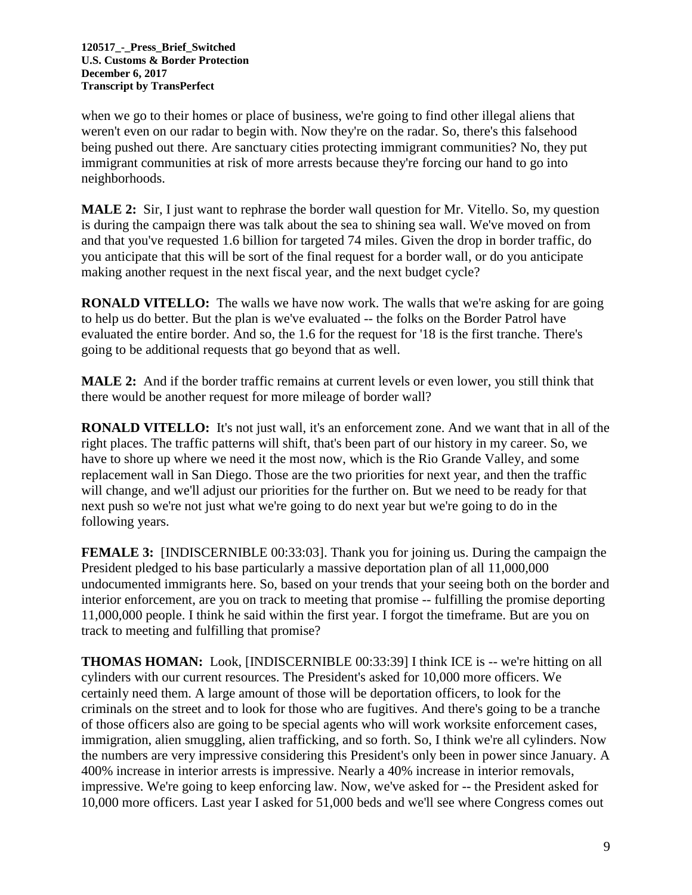when we go to their homes or place of business, we're going to find other illegal aliens that weren't even on our radar to begin with. Now they're on the radar. So, there's this falsehood being pushed out there. Are sanctuary cities protecting immigrant communities? No, they put immigrant communities at risk of more arrests because they're forcing our hand to go into neighborhoods.

**MALE 2:** Sir, I just want to rephrase the border wall question for Mr. Vitello. So, my question is during the campaign there was talk about the sea to shining sea wall. We've moved on from and that you've requested 1.6 billion for targeted 74 miles. Given the drop in border traffic, do you anticipate that this will be sort of the final request for a border wall, or do you anticipate making another request in the next fiscal year, and the next budget cycle?

**RONALD VITELLO:** The walls we have now work. The walls that we're asking for are going to help us do better. But the plan is we've evaluated -- the folks on the Border Patrol have evaluated the entire border. And so, the 1.6 for the request for '18 is the first tranche. There's going to be additional requests that go beyond that as well.

**MALE 2:** And if the border traffic remains at current levels or even lower, you still think that there would be another request for more mileage of border wall?

**RONALD VITELLO:** It's not just wall, it's an enforcement zone. And we want that in all of the right places. The traffic patterns will shift, that's been part of our history in my career. So, we have to shore up where we need it the most now, which is the Rio Grande Valley, and some replacement wall in San Diego. Those are the two priorities for next year, and then the traffic will change, and we'll adjust our priorities for the further on. But we need to be ready for that next push so we're not just what we're going to do next year but we're going to do in the following years.

**FEMALE 3:** [INDISCERNIBLE 00:33:03]. Thank you for joining us. During the campaign the President pledged to his base particularly a massive deportation plan of all 11,000,000 undocumented immigrants here. So, based on your trends that your seeing both on the border and interior enforcement, are you on track to meeting that promise -- fulfilling the promise deporting 11,000,000 people. I think he said within the first year. I forgot the timeframe. But are you on track to meeting and fulfilling that promise?

**THOMAS HOMAN:** Look, [INDISCERNIBLE 00:33:39] I think ICE is -- we're hitting on all cylinders with our current resources. The President's asked for 10,000 more officers. We certainly need them. A large amount of those will be deportation officers, to look for the criminals on the street and to look for those who are fugitives. And there's going to be a tranche of those officers also are going to be special agents who will work worksite enforcement cases, immigration, alien smuggling, alien trafficking, and so forth. So, I think we're all cylinders. Now the numbers are very impressive considering this President's only been in power since January. A 400% increase in interior arrests is impressive. Nearly a 40% increase in interior removals, impressive. We're going to keep enforcing law. Now, we've asked for -- the President asked for 10,000 more officers. Last year I asked for 51,000 beds and we'll see where Congress comes out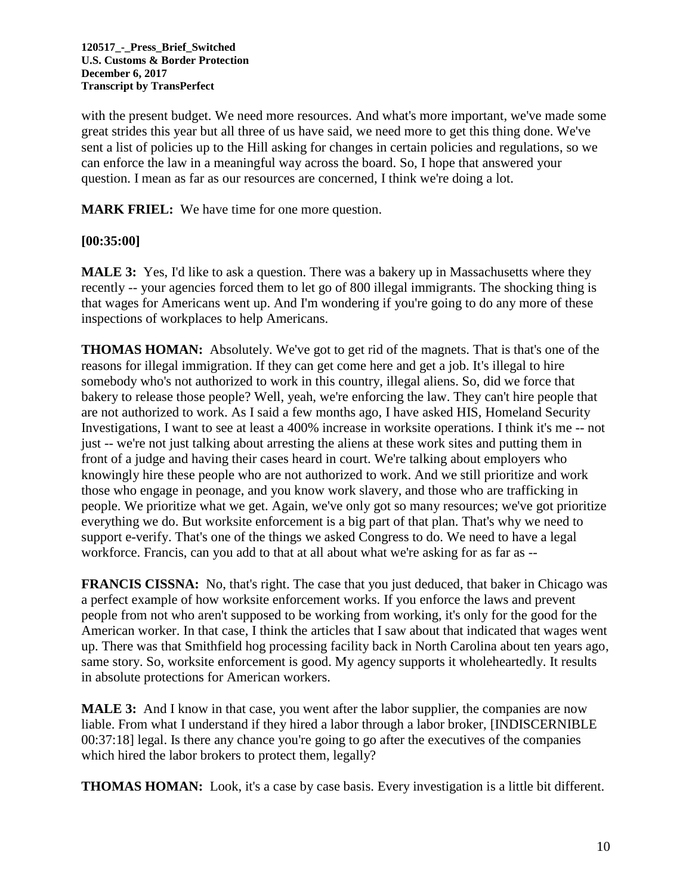with the present budget. We need more resources. And what's more important, we've made some great strides this year but all three of us have said, we need more to get this thing done. We've sent a list of policies up to the Hill asking for changes in certain policies and regulations, so we can enforce the law in a meaningful way across the board. So, I hope that answered your question. I mean as far as our resources are concerned, I think we're doing a lot.

**MARK FRIEL:** We have time for one more question.

### **[00:35:00]**

**MALE 3:** Yes, I'd like to ask a question. There was a bakery up in Massachusetts where they recently -- your agencies forced them to let go of 800 illegal immigrants. The shocking thing is that wages for Americans went up. And I'm wondering if you're going to do any more of these inspections of workplaces to help Americans.

**THOMAS HOMAN:** Absolutely. We've got to get rid of the magnets. That is that's one of the reasons for illegal immigration. If they can get come here and get a job. It's illegal to hire somebody who's not authorized to work in this country, illegal aliens. So, did we force that bakery to release those people? Well, yeah, we're enforcing the law. They can't hire people that are not authorized to work. As I said a few months ago, I have asked HIS, Homeland Security Investigations, I want to see at least a 400% increase in worksite operations. I think it's me -- not just -- we're not just talking about arresting the aliens at these work sites and putting them in front of a judge and having their cases heard in court. We're talking about employers who knowingly hire these people who are not authorized to work. And we still prioritize and work those who engage in peonage, and you know work slavery, and those who are trafficking in people. We prioritize what we get. Again, we've only got so many resources; we've got prioritize everything we do. But worksite enforcement is a big part of that plan. That's why we need to support e-verify. That's one of the things we asked Congress to do. We need to have a legal workforce. Francis, can you add to that at all about what we're asking for as far as --

**FRANCIS CISSNA:** No, that's right. The case that you just deduced, that baker in Chicago was a perfect example of how worksite enforcement works. If you enforce the laws and prevent people from not who aren't supposed to be working from working, it's only for the good for the American worker. In that case, I think the articles that I saw about that indicated that wages went up. There was that Smithfield hog processing facility back in North Carolina about ten years ago, same story. So, worksite enforcement is good. My agency supports it wholeheartedly. It results in absolute protections for American workers.

**MALE 3:** And I know in that case, you went after the labor supplier, the companies are now liable. From what I understand if they hired a labor through a labor broker, [INDISCERNIBLE 00:37:18] legal. Is there any chance you're going to go after the executives of the companies which hired the labor brokers to protect them, legally?

**THOMAS HOMAN:** Look, it's a case by case basis. Every investigation is a little bit different.